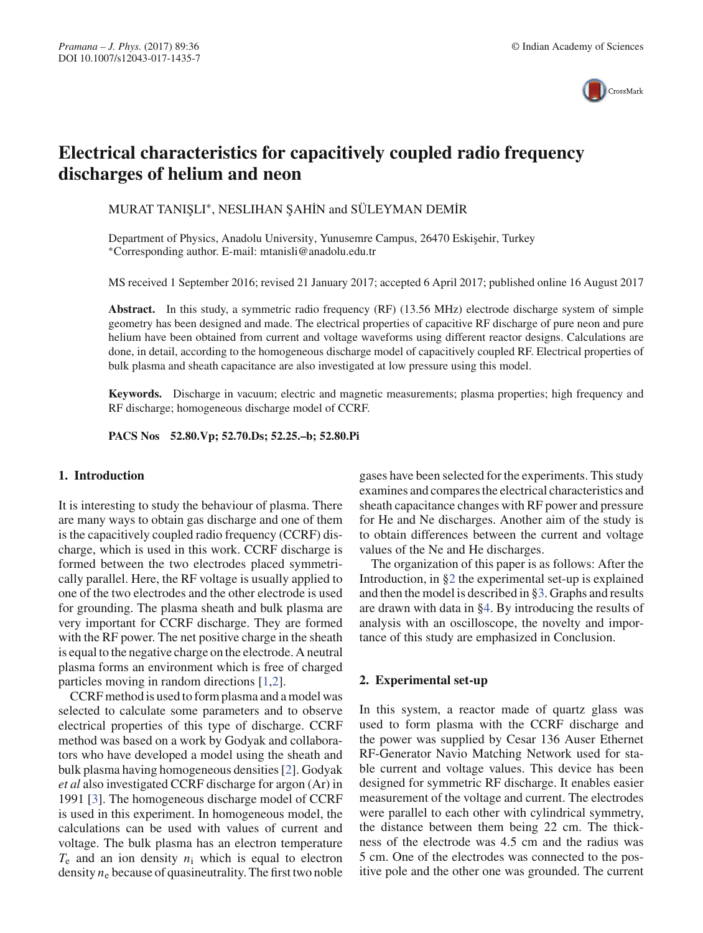

# **Electrical characteristics for capacitively coupled radio frequency discharges of helium and neon**

MURAT TANIŞLI\*, NESLIHAN ŞAHİN and SÜLEYMAN DEMİR

Department of Physics, Anadolu University, Yunusemre Campus, 26470 Eskişehir, Turkey ∗Corresponding author. E-mail: mtanisli@anadolu.edu.tr

MS received 1 September 2016; revised 21 January 2017; accepted 6 April 2017; published online 16 August 2017

**Abstract.** In this study, a symmetric radio frequency (RF) (13.56 MHz) electrode discharge system of simple geometry has been designed and made. The electrical properties of capacitive RF discharge of pure neon and pure helium have been obtained from current and voltage waveforms using different reactor designs. Calculations are done, in detail, according to the homogeneous discharge model of capacitively coupled RF. Electrical properties of bulk plasma and sheath capacitance are also investigated at low pressure using this model.

**Keywords.** Discharge in vacuum; electric and magnetic measurements; plasma properties; high frequency and RF discharge; homogeneous discharge model of CCRF.

**PACS Nos 52.80.Vp; 52.70.Ds; 52.25.–b; 52.80.Pi**

## **1. Introduction**

It is interesting to study the behaviour of plasma. There are many ways to obtain gas discharge and one of them is the capacitively coupled radio frequency (CCRF) discharge, which is used in this work. CCRF discharge is formed between the two electrodes placed symmetrically parallel. Here, the RF voltage is usually applied to one of the two electrodes and the other electrode is used for grounding. The plasma sheath and bulk plasma are very important for CCRF discharge. They are formed with the RF power. The net positive charge in the sheath is equal to the negative charge on the electrode. A neutral plasma forms an environment which is free of charged particles moving in random directions [1,2].

CCRF method is used to form plasma and a model was selected to calculate some parameters and to observe electrical properties of this type of discharge. CCRF method was based on a work by Godyak and collaborators who have developed a model using the sheath and bulk plasma having homogeneous densities [2]. Godyak *et al* also investigated CCRF discharge for argon (Ar) in 1991 [3]. The homogeneous discharge model of CCRF is used in this experiment. In homogeneous model, the calculations can be used with values of current and voltage. The bulk plasma has an electron temperature  $T_e$  and an ion density  $n_i$  which is equal to electron density  $n_e$  because of quasineutrality. The first two noble gases have been selected for the experiments. This study examines and compares the electrical characteristics and sheath capacitance changes with RF power and pressure for He and Ne discharges. Another aim of the study is to obtain differences between the current and voltage values of the Ne and He discharges.

The organization of this paper is as follows: After the Introduction, in §2 the experimental set-up is explained and then the model is described in §3. Graphs and results are drawn with data in §4. By introducing the results of analysis with an oscilloscope, the novelty and importance of this study are emphasized in Conclusion.

## **2. Experimental set-up**

In this system, a reactor made of quartz glass was used to form plasma with the CCRF discharge and the power was supplied by Cesar 136 Auser Ethernet RF-Generator Navio Matching Network used for stable current and voltage values. This device has been designed for symmetric RF discharge. It enables easier measurement of the voltage and current. The electrodes were parallel to each other with cylindrical symmetry, the distance between them being 22 cm. The thickness of the electrode was 4.5 cm and the radius was 5 cm. One of the electrodes was connected to the positive pole and the other one was grounded. The current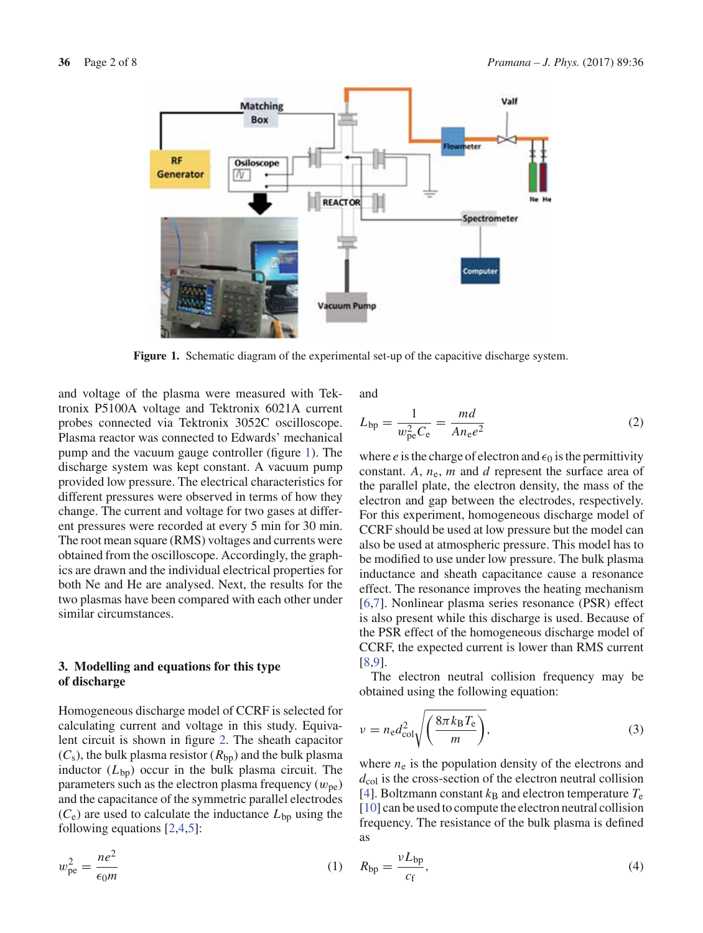

**Figure 1.** Schematic diagram of the experimental set-up of the capacitive discharge system.

and voltage of the plasma were measured with Tektronix P5100A voltage and Tektronix 6021A current probes connected via Tektronix 3052C oscilloscope. Plasma reactor was connected to Edwards' mechanical pump and the vacuum gauge controller (figure 1). The discharge system was kept constant. A vacuum pump provided low pressure. The electrical characteristics for different pressures were observed in terms of how they change. The current and voltage for two gases at different pressures were recorded at every 5 min for 30 min. The root mean square (RMS) voltages and currents were obtained from the oscilloscope. Accordingly, the graphics are drawn and the individual electrical properties for both Ne and He are analysed. Next, the results for the two plasmas have been compared with each other under similar circumstances.

# **3. Modelling and equations for this type of discharge**

Homogeneous discharge model of CCRF is selected for calculating current and voltage in this study. Equivalent circuit is shown in figure 2. The sheath capacitor  $(C_s)$ , the bulk plasma resistor  $(R_{bp})$  and the bulk plasma inductor  $(L_{bp})$  occur in the bulk plasma circuit. The parameters such as the electron plasma frequency  $(w_{pe})$ and the capacitance of the symmetric parallel electrodes  $(C_e)$  are used to calculate the inductance  $L_{bp}$  using the following equations [2,4,5]:

$$
w_{\rm pe}^2 = \frac{ne^2}{\epsilon_0 m} \tag{1}
$$

and

$$
L_{\rm bp} = \frac{1}{w_{\rm pe}^2 C_{\rm e}} = \frac{md}{A n_{\rm e} e^2}
$$
 (2)

where *e* is the charge of electron and  $\epsilon_0$  is the permittivity constant.  $A$ ,  $n_e$ ,  $m$  and  $d$  represent the surface area of the parallel plate, the electron density, the mass of the electron and gap between the electrodes, respectively. For this experiment, homogeneous discharge model of CCRF should be used at low pressure but the model can also be used at atmospheric pressure. This model has to be modified to use under low pressure. The bulk plasma inductance and sheath capacitance cause a resonance effect. The resonance improves the heating mechanism [6,7]. Nonlinear plasma series resonance (PSR) effect is also present while this discharge is used. Because of the PSR effect of the homogeneous discharge model of CCRF, the expected current is lower than RMS current [8,9].

The electron neutral collision frequency may be obtained using the following equation:

$$
v = n_{\rm e} d_{\rm col}^2 \sqrt{\left(\frac{8\pi k_{\rm B} T_{\rm e}}{m}\right)},\tag{3}
$$

where  $n_e$  is the population density of the electrons and  $d_{\text{col}}$  is the cross-section of the electron neutral collision [4]. Boltzmann constant  $k_B$  and electron temperature  $T_e$ [10] can be used to compute the electron neutral collision frequency. The resistance of the bulk plasma is defined as

$$
R_{\rm bp} = \frac{\nu L_{\rm bp}}{c_{\rm f}},\tag{4}
$$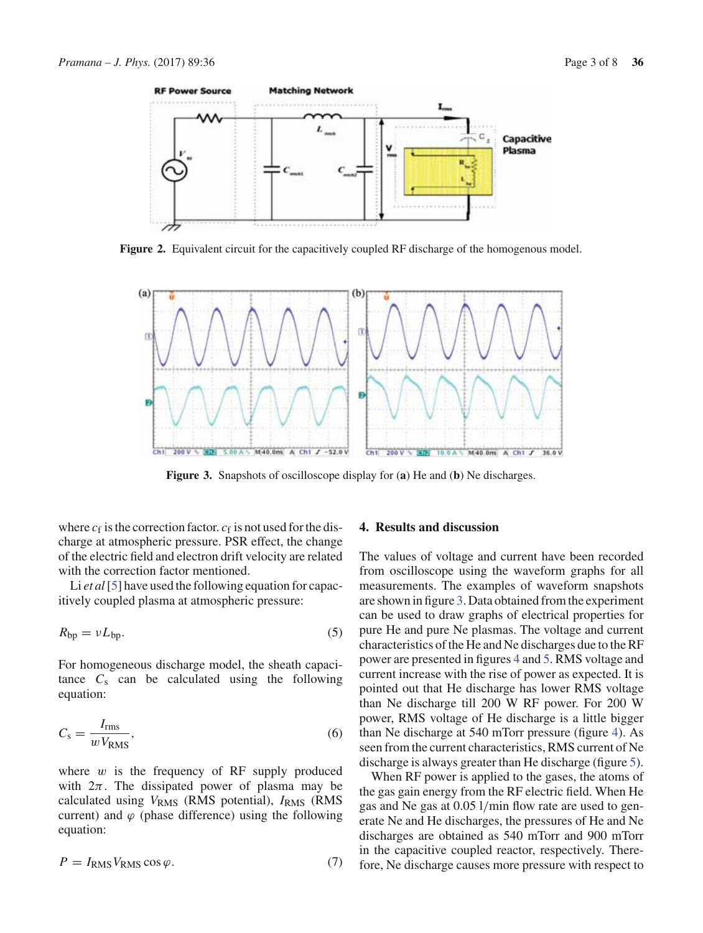

**Figure 2.** Equivalent circuit for the capacitively coupled RF discharge of the homogenous model.



**Figure 3.** Snapshots of oscilloscope display for (**a**) He and (**b**) Ne discharges.

where  $c_f$  is the correction factor.  $c_f$  is not used for the discharge at atmospheric pressure. PSR effect, the change of the electric field and electron drift velocity are related with the correction factor mentioned.

Li *et al* [5] have used the following equation for capacitively coupled plasma at atmospheric pressure:

$$
R_{\rm bp} = \nu L_{\rm bp}.\tag{5}
$$

For homogeneous discharge model, the sheath capacitance  $C_s$  can be calculated using the following equation:

$$
C_{\rm s} = \frac{I_{\rm rms}}{w V_{\rm RMS}},\tag{6}
$$

where  $w$  is the frequency of RF supply produced with  $2\pi$ . The dissipated power of plasma may be calculated using *V*RMS (RMS potential), *I*RMS (RMS current) and  $\varphi$  (phase difference) using the following equation:

$$
P = I_{\rm RMS} V_{\rm RMS} \cos \varphi. \tag{7}
$$

# **4. Results and discussion**

The values of voltage and current have been recorded from oscilloscope using the waveform graphs for all measurements. The examples of waveform snapshots are shown in figure 3. Data obtained from the experiment can be used to draw graphs of electrical properties for pure He and pure Ne plasmas. The voltage and current characteristics of the He and Ne discharges due to the RF power are presented in figures 4 and 5. RMS voltage and current increase with the rise of power as expected. It is pointed out that He discharge has lower RMS voltage than Ne discharge till 200 W RF power. For 200 W power, RMS voltage of He discharge is a little bigger than Ne discharge at 540 mTorr pressure (figure 4). As seen from the current characteristics, RMS current of Ne discharge is always greater than He discharge (figure 5).

When RF power is applied to the gases, the atoms of the gas gain energy from the RF electric field. When He gas and Ne gas at 0.05 l/min flow rate are used to generate Ne and He discharges, the pressures of He and Ne discharges are obtained as 540 mTorr and 900 mTorr in the capacitive coupled reactor, respectively. Therefore, Ne discharge causes more pressure with respect to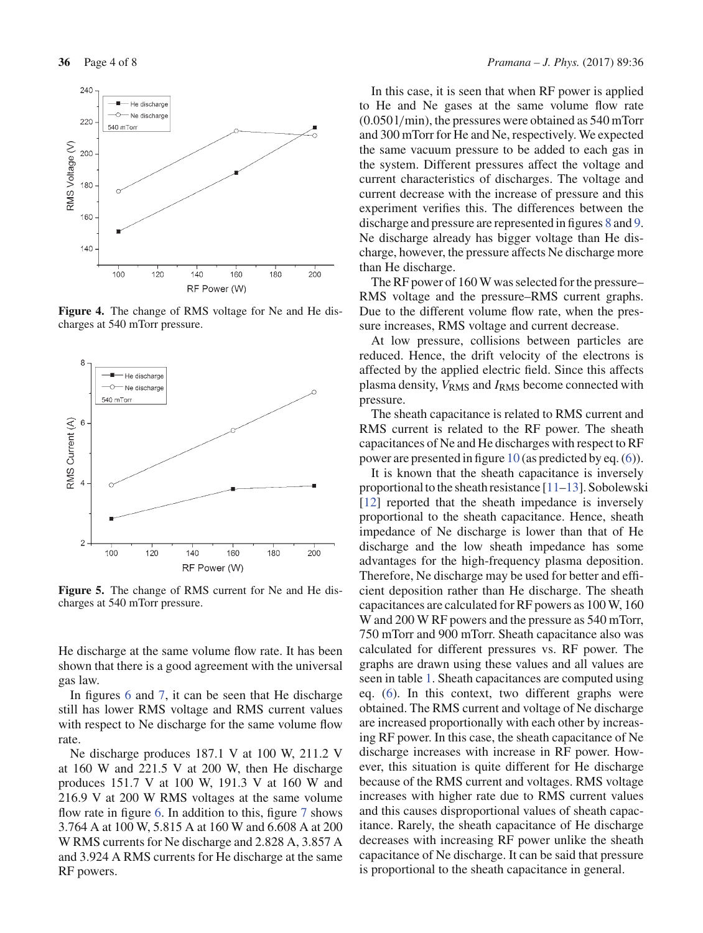

**Figure 4.** The change of RMS voltage for Ne and He discharges at 540 mTorr pressure.



**Figure 5.** The change of RMS current for Ne and He discharges at 540 mTorr pressure.

He discharge at the same volume flow rate. It has been shown that there is a good agreement with the universal gas law.

In figures 6 and 7, it can be seen that He discharge still has lower RMS voltage and RMS current values with respect to Ne discharge for the same volume flow rate.

Ne discharge produces 187.1 V at 100 W, 211.2 V at 160 W and 221.5 V at 200 W, then He discharge produces 151.7 V at 100 W, 191.3 V at 160 W and 216.9 V at 200 W RMS voltages at the same volume flow rate in figure 6. In addition to this, figure 7 shows 3.764 A at 100 W, 5.815 A at 160 W and 6.608 A at 200 W RMS currents for Ne discharge and 2.828 A, 3.857 A and 3.924 A RMS currents for He discharge at the same RF powers.

In this case, it is seen that when RF power is applied to He and Ne gases at the same volume flow rate (0.050 l/min), the pressures were obtained as 540 mTorr and 300 mTorr for He and Ne, respectively. We expected the same vacuum pressure to be added to each gas in the system. Different pressures affect the voltage and current characteristics of discharges. The voltage and current decrease with the increase of pressure and this experiment verifies this. The differences between the discharge and pressure are represented in figures 8 and 9. Ne discharge already has bigger voltage than He discharge, however, the pressure affects Ne discharge more than He discharge.

The RF power of 160 W was selected for the pressure– RMS voltage and the pressure–RMS current graphs. Due to the different volume flow rate, when the pressure increases, RMS voltage and current decrease.

At low pressure, collisions between particles are reduced. Hence, the drift velocity of the electrons is affected by the applied electric field. Since this affects plasma density,  $V_{RMS}$  and  $I_{RMS}$  become connected with pressure.

The sheath capacitance is related to RMS current and RMS current is related to the RF power. The sheath capacitances of Ne and He discharges with respect to RF power are presented in figure 10 (as predicted by eq. (6)).

It is known that the sheath capacitance is inversely proportional to the sheath resistance [11–13]. Sobolewski [12] reported that the sheath impedance is inversely proportional to the sheath capacitance. Hence, sheath impedance of Ne discharge is lower than that of He discharge and the low sheath impedance has some advantages for the high-frequency plasma deposition. Therefore, Ne discharge may be used for better and efficient deposition rather than He discharge. The sheath capacitances are calculated for RF powers as 100 W, 160 W and 200 W RF powers and the pressure as 540 mTorr, 750 mTorr and 900 mTorr. Sheath capacitance also was calculated for different pressures vs. RF power. The graphs are drawn using these values and all values are seen in table 1. Sheath capacitances are computed using eq. (6). In this context, two different graphs were obtained. The RMS current and voltage of Ne discharge are increased proportionally with each other by increasing RF power. In this case, the sheath capacitance of Ne discharge increases with increase in RF power. However, this situation is quite different for He discharge because of the RMS current and voltages. RMS voltage increases with higher rate due to RMS current values and this causes disproportional values of sheath capacitance. Rarely, the sheath capacitance of He discharge decreases with increasing RF power unlike the sheath capacitance of Ne discharge. It can be said that pressure is proportional to the sheath capacitance in general.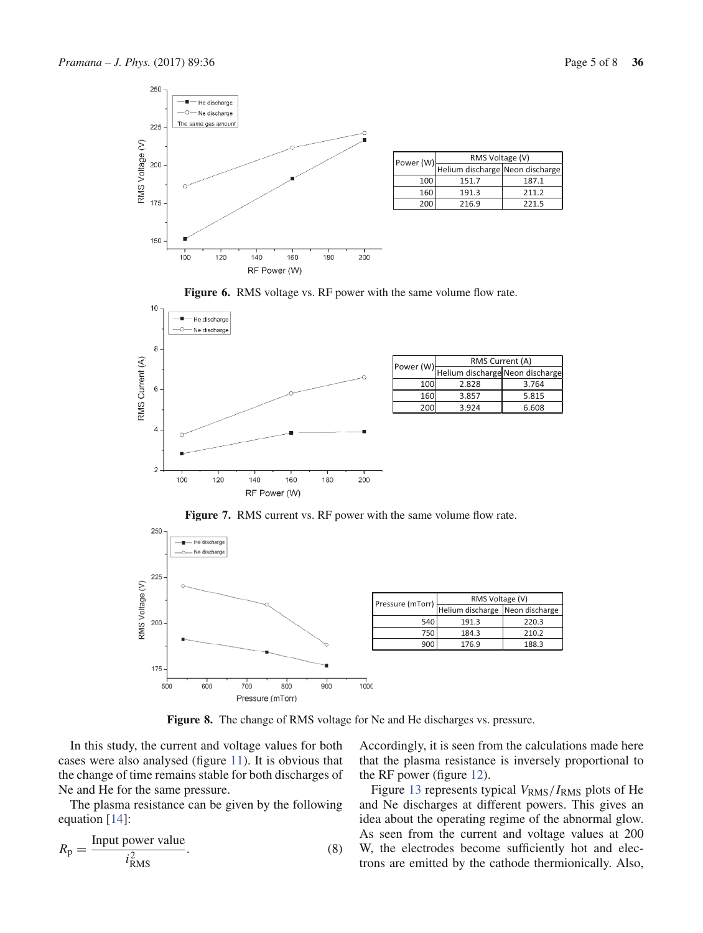

| Power (W) | RMS Voltage (V)                 |       |  |
|-----------|---------------------------------|-------|--|
|           | Helium discharge Neon discharge |       |  |
| 100       | 151.7                           | 187.1 |  |
| 160       | 191.3                           | 211.2 |  |
| 200       | 216.9                           | 221.5 |  |





| Helium discharge Neon discharge<br>100<br>2.828<br>3.764<br>160<br>3.857<br>5.815 | Power (W) | RMS Current (A) |       |  |
|-----------------------------------------------------------------------------------|-----------|-----------------|-------|--|
|                                                                                   |           |                 |       |  |
|                                                                                   |           |                 |       |  |
|                                                                                   |           |                 |       |  |
|                                                                                   | 200       | 3.924           | 6.608 |  |

250 - He discharge - Ne discharge ó 225 RMS Voltage (V) Pressure (mTorr) RMS Voltage (V) Helium discharge Neon discharge 200 540 191.3 220.3 750 184.3 210.2 900 176.9 188.3 175  $700$  $800$  $500$  $600$  $900$ 1000 Pressure (mTorr)

Figure 7. RMS current vs. RF power with the same volume flow rate.

**Figure 8.** The change of RMS voltage for Ne and He discharges vs. pressure.

In this study, the current and voltage values for both cases were also analysed (figure 11). It is obvious that the change of time remains stable for both discharges of Ne and He for the same pressure.

The plasma resistance can be given by the following equation [14]:

$$
R_{\rm p} = \frac{\text{Input power value}}{i_{\rm RMS}^2}.
$$
 (8)

Accordingly, it is seen from the calculations made here that the plasma resistance is inversely proportional to the RF power (figure 12).

Figure 13 represents typical  $V_{RMS}/I_{RMS}$  plots of He and Ne discharges at different powers. This gives an idea about the operating regime of the abnormal glow. As seen from the current and voltage values at 200 W, the electrodes become sufficiently hot and electrons are emitted by the cathode thermionically. Also,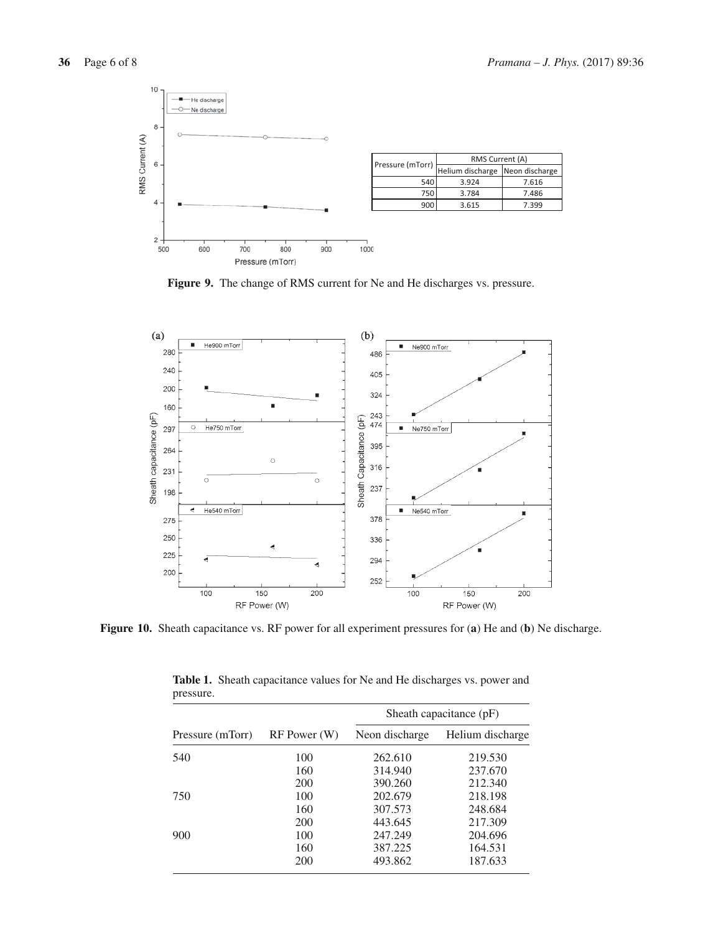

**Figure 9.** The change of RMS current for Ne and He discharges vs. pressure.



**Figure 10.** Sheath capacitance vs. RF power for all experiment pressures for (**a**) He and (**b**) Ne discharge.

| r = = = = = = = = |              |                         |                  |  |
|-------------------|--------------|-------------------------|------------------|--|
|                   | RF Power (W) | Sheath capacitance (pF) |                  |  |
| Pressure (mTorr)  |              | Neon discharge          | Helium discharge |  |
| 540               | 100          | 262.610                 | 219.530          |  |
|                   | 160          | 314.940                 | 237.670          |  |
|                   | 200          | 390.260                 | 212.340          |  |
| 750               | 100          | 202.679                 | 218.198          |  |
|                   | 160          | 307.573                 | 248.684          |  |
|                   | 200          | 443.645                 | 217.309          |  |
| 900               | 100          | 247.249                 | 204.696          |  |
|                   | 160          | 387.225                 | 164.531          |  |
|                   | 200          | 493.862                 | 187.633          |  |
|                   |              |                         |                  |  |

**Table 1.** Sheath capacitance values for Ne and He discharges vs. power and pressure.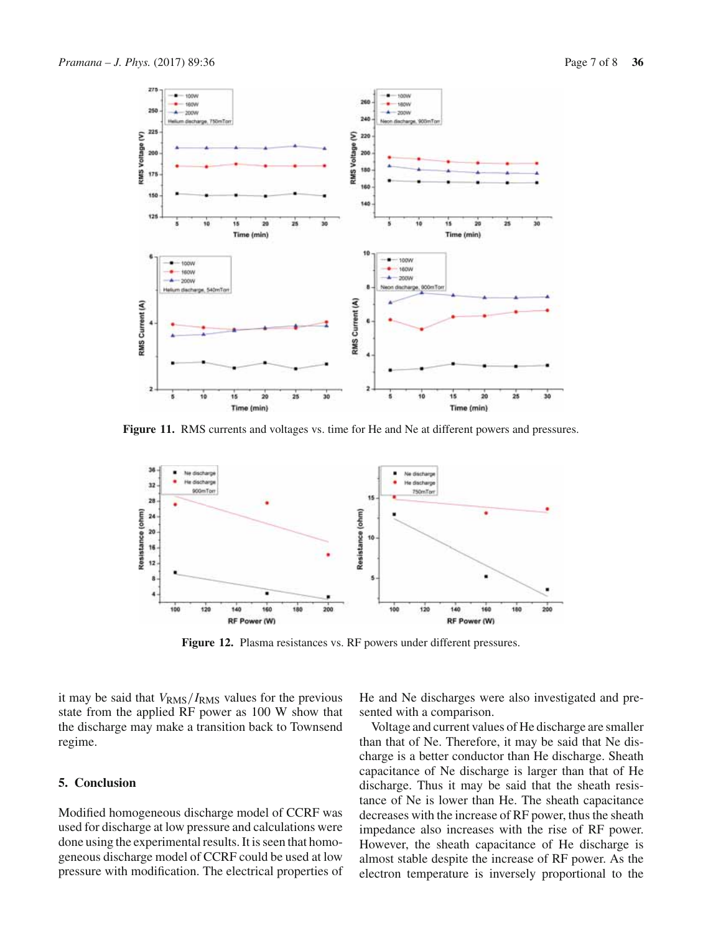

**Figure 11.** RMS currents and voltages vs. time for He and Ne at different powers and pressures.



**Figure 12.** Plasma resistances vs. RF powers under different pressures.

it may be said that  $V_{RMS}/I_{RMS}$  values for the previous state from the applied RF power as 100 W show that the discharge may make a transition back to Townsend regime.

### **5. Conclusion**

Modified homogeneous discharge model of CCRF was used for discharge at low pressure and calculations were done using the experimental results. It is seen that homogeneous discharge model of CCRF could be used at low pressure with modification. The electrical properties of He and Ne discharges were also investigated and presented with a comparison.

Voltage and current values of He discharge are smaller than that of Ne. Therefore, it may be said that Ne discharge is a better conductor than He discharge. Sheath capacitance of Ne discharge is larger than that of He discharge. Thus it may be said that the sheath resistance of Ne is lower than He. The sheath capacitance decreases with the increase of RF power, thus the sheath impedance also increases with the rise of RF power. However, the sheath capacitance of He discharge is almost stable despite the increase of RF power. As the electron temperature is inversely proportional to the